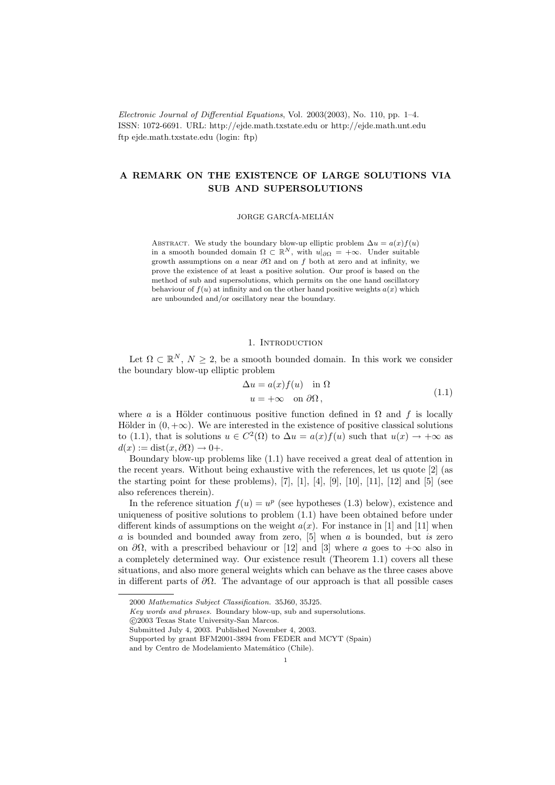Electronic Journal of Differential Equations, Vol. 2003(2003), No. 110, pp. 1–4. ISSN: 1072-6691. URL: http://ejde.math.txstate.edu or http://ejde.math.unt.edu ftp ejde.math.txstate.edu (login: ftp)

# A REMARK ON THE EXISTENCE OF LARGE SOLUTIONS VIA SUB AND SUPERSOLUTIONS

JORGE GARCÍA-MELIÁN

ABSTRACT. We study the boundary blow-up elliptic problem  $\Delta u = a(x) f(u)$ in a smooth bounded domain  $\Omega \subset \mathbb{R}^N$ , with  $u|_{\partial\Omega} = +\infty$ . Under suitable growth assumptions on a near  $\partial\Omega$  and on f both at zero and at infinity, we prove the existence of at least a positive solution. Our proof is based on the method of sub and supersolutions, which permits on the one hand oscillatory behaviour of  $f(u)$  at infinity and on the other hand positive weights  $a(x)$  which are unbounded and/or oscillatory near the boundary.

## 1. INTRODUCTION

Let  $\Omega \subset \mathbb{R}^N$ ,  $N \geq 2$ , be a smooth bounded domain. In this work we consider the boundary blow-up elliptic problem

$$
\Delta u = a(x) f(u) \quad \text{in } \Omega
$$
  
 
$$
u = +\infty \quad \text{on } \partial\Omega,
$$
 (1.1)

where a is a Hölder continuous positive function defined in  $\Omega$  and f is locally Hölder in  $(0, +\infty)$ . We are interested in the existence of positive classical solutions to (1.1), that is solutions  $u \in C^2(\Omega)$  to  $\Delta u = a(x)f(u)$  such that  $u(x) \to +\infty$  as  $d(x) := \text{dist}(x, \partial \Omega) \rightarrow 0+.$ 

Boundary blow-up problems like (1.1) have received a great deal of attention in the recent years. Without being exhaustive with the references, let us quote [2] (as the starting point for these problems),  $[7]$ ,  $[1]$ ,  $[4]$ ,  $[9]$ ,  $[10]$ ,  $[11]$ ,  $[12]$  and  $[5]$  (see also references therein).

In the reference situation  $f(u) = u^p$  (see hypotheses (1.3) below), existence and uniqueness of positive solutions to problem (1.1) have been obtained before under different kinds of assumptions on the weight  $a(x)$ . For instance in [1] and [11] when  $a$  is bounded and bounded away from zero, [5] when  $a$  is bounded, but is zero on  $\partial\Omega$ , with a prescribed behaviour or [12] and [3] where a goes to  $+\infty$  also in a completely determined way. Our existence result (Theorem 1.1) covers all these situations, and also more general weights which can behave as the three cases above in different parts of  $\partial\Omega$ . The advantage of our approach is that all possible cases

<sup>2000</sup> Mathematics Subject Classification. 35J60, 35J25.

Key words and phrases. Boundary blow-up, sub and supersolutions.

c 2003 Texas State University-San Marcos.

Submitted July 4, 2003. Published November 4, 2003.

Supported by grant BFM2001-3894 from FEDER and MCYT (Spain) and by Centro de Modelamiento Matemático (Chile).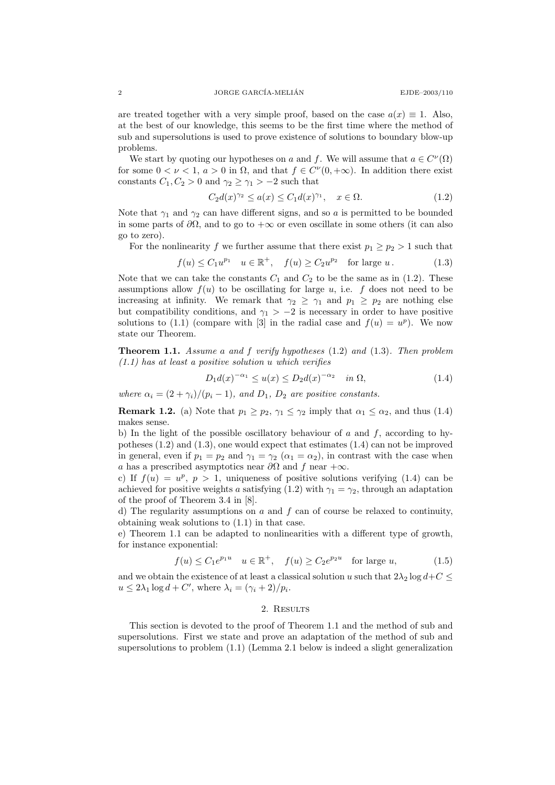are treated together with a very simple proof, based on the case  $a(x) \equiv 1$ . Also, at the best of our knowledge, this seems to be the first time where the method of sub and supersolutions is used to prove existence of solutions to boundary blow-up problems.

We start by quoting our hypotheses on a and f. We will assume that  $a \in C^{\nu}(\Omega)$ for some  $0 < \nu < 1$ ,  $a > 0$  in  $\Omega$ , and that  $f \in C^{\nu}(0, +\infty)$ . In addition there exist constants  $C_1, C_2 > 0$  and  $\gamma_2 \geq \gamma_1 > -2$  such that

$$
C_2 d(x)^{\gamma_2} \le a(x) \le C_1 d(x)^{\gamma_1}, \quad x \in \Omega.
$$
 (1.2)

Note that  $\gamma_1$  and  $\gamma_2$  can have different signs, and so a is permitted to be bounded in some parts of  $\partial\Omega$ , and to go to  $+\infty$  or even oscillate in some others (it can also go to zero).

For the nonlinearity f we further assume that there exist  $p_1 \geq p_2 > 1$  such that

$$
f(u) \le C_1 u^{p_1} \quad u \in \mathbb{R}^+, \quad f(u) \ge C_2 u^{p_2} \quad \text{for large } u. \tag{1.3}
$$

Note that we can take the constants  $C_1$  and  $C_2$  to be the same as in (1.2). These assumptions allow  $f(u)$  to be oscillating for large u, i.e. f does not need to be increasing at infinity. We remark that  $\gamma_2 \geq \gamma_1$  and  $p_1 \geq p_2$  are nothing else but compatibility conditions, and  $\gamma_1$  > −2 is necessary in order to have positive solutions to (1.1) (compare with [3] in the radial case and  $f(u) = u^p$ ). We now state our Theorem.

Theorem 1.1. Assume a and f verify hypotheses (1.2) and (1.3). Then problem  $(1.1)$  has at least a positive solution u which verifies

$$
D_1 d(x)^{-\alpha_1} \le u(x) \le D_2 d(x)^{-\alpha_2} \quad \text{in } \Omega,
$$
\n(1.4)

where  $\alpha_i = (2 + \gamma_i)/(p_i - 1)$ , and  $D_1$ ,  $D_2$  are positive constants.

**Remark 1.2.** (a) Note that  $p_1 \geq p_2$ ,  $\gamma_1 \leq \gamma_2$  imply that  $\alpha_1 \leq \alpha_2$ , and thus (1.4) makes sense.

b) In the light of the possible oscillatory behaviour of  $a$  and  $f$ , according to hypotheses (1.2) and (1.3), one would expect that estimates (1.4) can not be improved in general, even if  $p_1 = p_2$  and  $\gamma_1 = \gamma_2$   $(\alpha_1 = \alpha_2)$ , in contrast with the case when a has a prescribed asymptotics near  $\partial\Omega$  and f near +∞.

c) If  $f(u) = u^p$ ,  $p > 1$ , uniqueness of positive solutions verifying (1.4) can be achieved for positive weights a satisfying (1.2) with  $\gamma_1 = \gamma_2$ , through an adaptation of the proof of Theorem 3.4 in [8].

d) The regularity assumptions on  $a$  and  $f$  can of course be relaxed to continuity, obtaining weak solutions to (1.1) in that case.

e) Theorem 1.1 can be adapted to nonlinearities with a different type of growth, for instance exponential:

$$
f(u) \le C_1 e^{p_1 u} \quad u \in \mathbb{R}^+, \quad f(u) \ge C_2 e^{p_2 u} \quad \text{for large } u,
$$
 (1.5)

and we obtain the existence of at least a classical solution u such that  $2\lambda_2 \log d + C \leq$  $u \leq 2\lambda_1 \log d + C'$ , where  $\lambda_i = (\gamma_i + 2)/p_i$ .

### 2. RESULTS

This section is devoted to the proof of Theorem 1.1 and the method of sub and supersolutions. First we state and prove an adaptation of the method of sub and supersolutions to problem (1.1) (Lemma 2.1 below is indeed a slight generalization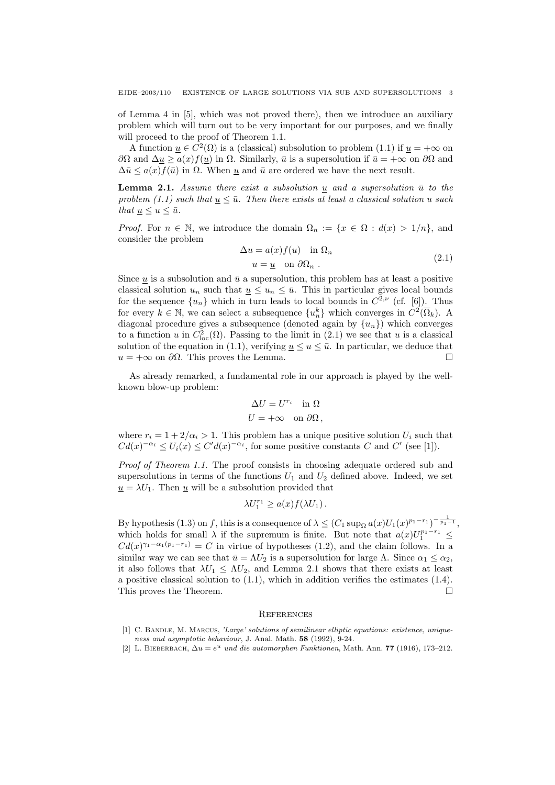of Lemma 4 in [5], which was not proved there), then we introduce an auxiliary problem which will turn out to be very important for our purposes, and we finally will proceed to the proof of Theorem 1.1.

A function  $\underline{u} \in C^2(\Omega)$  is a (classical) subsolution to problem (1.1) if  $\underline{u} = +\infty$  on  $∂Ω$  and  $Δu ≥ a(x)f(u)$  in Ω. Similarly,  $\bar{u}$  is a supersolution if  $\bar{u} = +∞$  on  $∂Ω$  and  $\Delta \bar{u} \leq a(x) f(\bar{u})$  in  $\Omega$ . When  $u$  and  $\bar{u}$  are ordered we have the next result.

**Lemma 2.1.** Assume there exist a subsolution u and a supersolution  $\bar{u}$  to the problem (1.1) such that  $u \leq \bar{u}$ . Then there exists at least a classical solution u such that  $u \leq u \leq \bar{u}$ .

*Proof.* For  $n \in \mathbb{N}$ , we introduce the domain  $\Omega_n := \{x \in \Omega : d(x) > 1/n\}$ , and consider the problem

$$
\Delta u = a(x) f(u) \quad \text{in } \Omega_n
$$
  
\n
$$
u = \underline{u} \quad \text{on } \partial \Omega_n .
$$
\n(2.1)

Since u is a subsolution and  $\bar{u}$  a supersolution, this problem has at least a positive classical solution  $u_n$  such that  $u \leq u_n \leq \bar{u}$ . This in particular gives local bounds for the sequence  $\{u_n\}$  which in turn leads to local bounds in  $C^{2,\nu}$  (cf. [6]). Thus for every  $k \in \mathbb{N}$ , we can select a subsequence  $\{u_n^k\}$  which converges in  $C^2(\overline{\Omega}_k)$ . A diagonal procedure gives a subsequence (denoted again by  $\{u_n\}$ ) which converges to a function u in  $C^2_{loc}(\Omega)$ . Passing to the limit in  $(2.1)$  we see that u is a classical solution of the equation in (1.1), verifying  $\underline{u} \le u \le \overline{u}$ . In particular, we deduce that  $u = +\infty$  on  $\partial\Omega$ . This proves the Lemma.

As already remarked, a fundamental role in our approach is played by the wellknown blow-up problem:

$$
\Delta U = U^{r_i} \quad \text{in } \Omega
$$
  

$$
U = +\infty \quad \text{on } \partial\Omega,
$$

where  $r_i = 1 + 2/\alpha_i > 1$ . This problem has a unique positive solution  $U_i$  such that  $Cd(x)^{-\alpha_i} \leq U_i(x) \leq C'd(x)^{-\alpha_i}$ , for some positive constants C and C' (see [1]).

Proof of Theorem 1.1. The proof consists in choosing adequate ordered sub and supersolutions in terms of the functions  $U_1$  and  $U_2$  defined above. Indeed, we set  $u = \lambda U_1$ . Then u will be a subsolution provided that

$$
\lambda U_1^{r_1} \ge a(x) f(\lambda U_1).
$$

By hypothesis (1.3) on f, this is a consequence of  $\lambda \leq (C_1 \sup_{\Omega} a(x)U_1(x)^{p_1-r_1})^{-\frac{1}{p_1-1}}$ , which holds for small  $\lambda$  if the supremum is finite. But note that  $a(x)U_1^{p_1-r_1} \leq$  $Cd(x)^{\gamma_1-\alpha_1(p_1-r_1)}=C$  in virtue of hypotheses (1.2), and the claim follows. In a similar way we can see that  $\bar{u} = \Lambda U_2$  is a supersolution for large  $\Lambda$ . Since  $\alpha_1 \leq \alpha_2$ , it also follows that  $\lambda U_1 \leq \Lambda U_2$ , and Lemma 2.1 shows that there exists at least a positive classical solution to  $(1.1)$ , which in addition verifies the estimates  $(1.4)$ . This proves the Theorem.

#### **REFERENCES**

- [1] C. BANDLE, M. MARCUS, 'Large' solutions of semilinear elliptic equations: existence, uniqueness and asymptotic behaviour, J. Anal. Math. 58 (1992), 9-24.
- [2] L. BIEBERBACH,  $\Delta u = e^u$  und die automorphen Funktionen, Math. Ann. 77 (1916), 173–212.